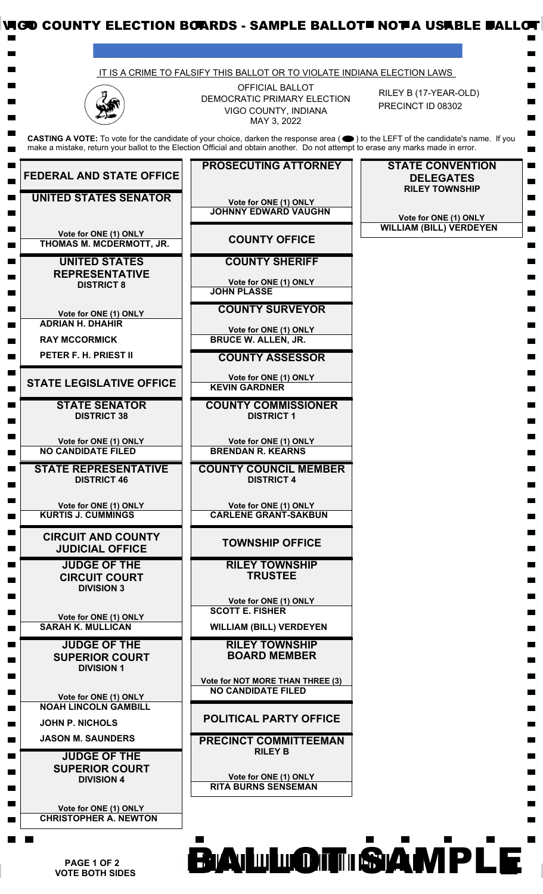